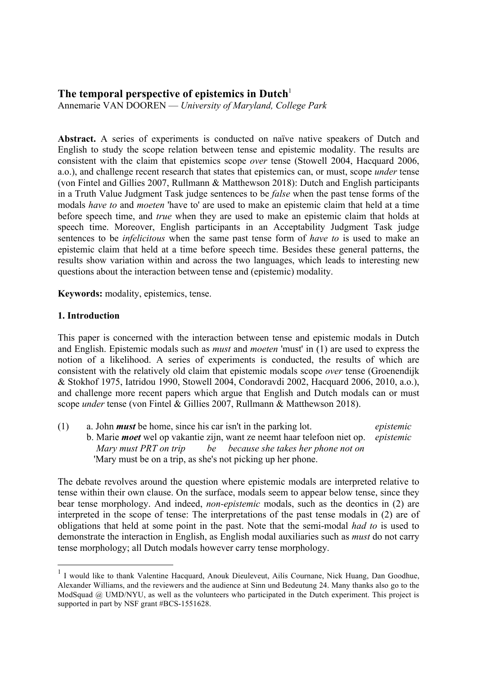# **The temporal perspective of epistemics in Dutch**<sup>1</sup>

Annemarie VAN DOOREN — *University of Maryland, College Park*

Abstract. A series of experiments is conducted on naïve native speakers of Dutch and English to study the scope relation between tense and epistemic modality. The results are consistent with the claim that epistemics scope *over* tense (Stowell 2004, Hacquard 2006, a.o.), and challenge recent research that states that epistemics can, or must, scope *under* tense (von Fintel and Gillies 2007, Rullmann & Matthewson 2018): Dutch and English participants in a Truth Value Judgment Task judge sentences to be *false* when the past tense forms of the modals *have to* and *moeten* 'have to' are used to make an epistemic claim that held at a time before speech time, and *true* when they are used to make an epistemic claim that holds at speech time. Moreover, English participants in an Acceptability Judgment Task judge sentences to be *infelicitous* when the same past tense form of *have to* is used to make an epistemic claim that held at a time before speech time. Besides these general patterns, the results show variation within and across the two languages, which leads to interesting new questions about the interaction between tense and (epistemic) modality.

**Keywords:** modality, epistemics, tense.

# **1. Introduction**

This paper is concerned with the interaction between tense and epistemic modals in Dutch and English. Epistemic modals such as *must* and *moeten* 'must' in (1) are used to express the notion of a likelihood. A series of experiments is conducted, the results of which are consistent with the relatively old claim that epistemic modals scope *over* tense (Groenendijk & Stokhof 1975, Iatridou 1990, Stowell 2004, Condoravdi 2002, Hacquard 2006, 2010, a.o.), and challenge more recent papers which argue that English and Dutch modals can or must scope *under* tense (von Fintel & Gillies 2007, Rullmann & Matthewson 2018).

(1) a. John *must* be home, since his car isn't in the parking lot. *epistemic* b. Marie *moet* wel op vakantie zijn, want ze neemt haar telefoon niet op. *epistemic Mary must PRT on trip be because she takes her phone not on* 'Mary must be on a trip, as she's not picking up her phone.

The debate revolves around the question where epistemic modals are interpreted relative to tense within their own clause. On the surface, modals seem to appear below tense, since they bear tense morphology. And indeed, *non-epistemic* modals, such as the deontics in (2) are interpreted in the scope of tense: The interpretations of the past tense modals in (2) are of obligations that held at some point in the past. Note that the semi-modal *had to* is used to demonstrate the interaction in English, as English modal auxiliaries such as *must* do not carry tense morphology; all Dutch modals however carry tense morphology.

 <sup>1</sup> I would like to thank Valentine Hacquard, Anouk Dieuleveut, Ailís Cournane, Nick Huang, Dan Goodhue, Alexander Williams, and the reviewers and the audience at Sinn und Bedeutung 24. Many thanks also go to the ModSquad @ UMD/NYU, as well as the volunteers who participated in the Dutch experiment. This project is supported in part by NSF grant #BCS-1551628.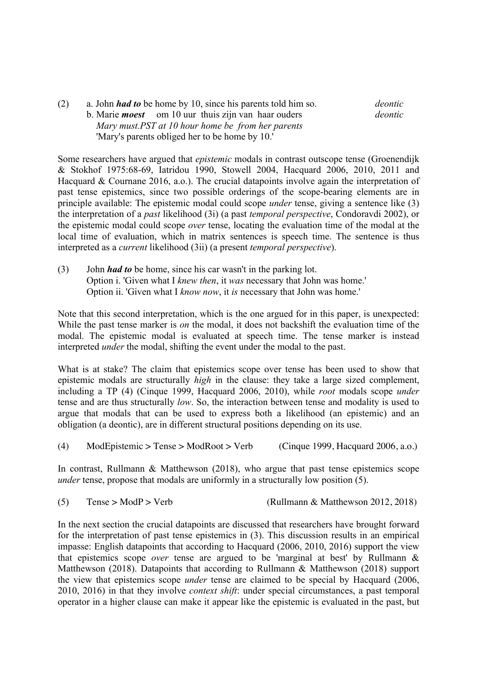(2) a. John *had to* be home by 10, since his parents told him so. *deontic* b. Marie *moest* om 10 uur thuis zijn van haar ouders *deontic Mary must.PST at 10 hour home be from her parents* 'Mary's parents obliged her to be home by 10.'

Some researchers have argued that *epistemic* modals in contrast outscope tense (Groenendijk & Stokhof 1975:68-69, Iatridou 1990, Stowell 2004, Hacquard 2006, 2010, 2011 and Hacquard & Cournane 2016, a.o.). The crucial datapoints involve again the interpretation of past tense epistemics, since two possible orderings of the scope-bearing elements are in principle available: The epistemic modal could scope *under* tense, giving a sentence like (3) the interpretation of a *past* likelihood (3i) (a past *temporal perspective*, Condoravdi 2002), or the epistemic modal could scope *over* tense, locating the evaluation time of the modal at the local time of evaluation, which in matrix sentences is speech time. The sentence is thus interpreted as a *current* likelihood (3ii) (a present *temporal perspective*).

(3) John *had to* be home, since his car wasn't in the parking lot. Option i. 'Given what I *knew then*, it *was* necessary that John was home.' Option ii. 'Given what I *know now*, it *is* necessary that John was home.'

Note that this second interpretation, which is the one argued for in this paper, is unexpected: While the past tense marker is *on* the modal, it does not backshift the evaluation time of the modal. The epistemic modal is evaluated at speech time. The tense marker is instead interpreted *under* the modal, shifting the event under the modal to the past.

What is at stake? The claim that epistemics scope over tense has been used to show that epistemic modals are structurally *high* in the clause: they take a large sized complement, including a TP (4) (Cinque 1999, Hacquard 2006, 2010), while *root* modals scope *under*  tense and are thus structurally *low*. So, the interaction between tense and modality is used to argue that modals that can be used to express both a likelihood (an epistemic) and an obligation (a deontic), are in different structural positions depending on its use.

(4) ModEpistemic > Tense > ModRoot > Verb (Cinque 1999, Hacquard 2006, a.o.)

In contrast, Rullmann & Matthewson (2018), who argue that past tense epistemics scope *under* tense, propose that modals are uniformly in a structurally low position (5).

(5) Tense > ModP > Verb (Rullmann & Matthewson 2012, 2018)

In the next section the crucial datapoints are discussed that researchers have brought forward for the interpretation of past tense epistemics in (3). This discussion results in an empirical impasse: English datapoints that according to Hacquard (2006, 2010, 2016) support the view that epistemics scope *over* tense are argued to be 'marginal at best' by Rullmann & Matthewson (2018). Datapoints that according to Rullmann & Matthewson (2018) support the view that epistemics scope *under* tense are claimed to be special by Hacquard (2006, 2010, 2016) in that they involve *context shift*: under special circumstances, a past temporal operator in a higher clause can make it appear like the epistemic is evaluated in the past, but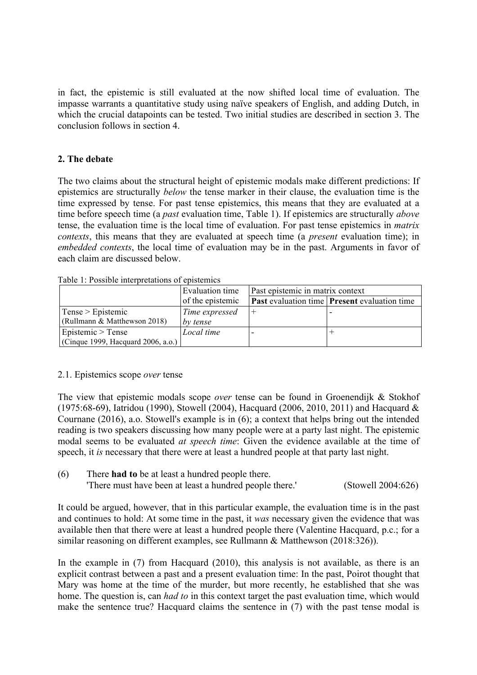in fact, the epistemic is still evaluated at the now shifted local time of evaluation. The impasse warrants a quantitative study using naïve speakers of English, and adding Dutch, in which the crucial datapoints can be tested. Two initial studies are described in section 3. The conclusion follows in section 4.

# **2. The debate**

The two claims about the structural height of epistemic modals make different predictions: If epistemics are structurally *below* the tense marker in their clause, the evaluation time is the time expressed by tense. For past tense epistemics, this means that they are evaluated at a time before speech time (a *past* evaluation time, Table 1). If epistemics are structurally *above* tense, the evaluation time is the local time of evaluation. For past tense epistemics in *matrix contexts*, this means that they are evaluated at speech time (a *present* evaluation time); in *embedded contexts*, the local time of evaluation may be in the past. Arguments in favor of each claim are discussed below.

| Table 1: Possible interpretations of epistemics |  |
|-------------------------------------------------|--|
|-------------------------------------------------|--|

|                                    | Past epistemic in matrix context<br>Evaluation time |  |                                                            |  |
|------------------------------------|-----------------------------------------------------|--|------------------------------------------------------------|--|
|                                    | of the epistemic                                    |  | <b>Past</b> evaluation time <b>Present</b> evaluation time |  |
| $Tense$ > Epistemic                | Time expressed                                      |  |                                                            |  |
| (Rullmann & Matthewson 2018)       | by tense                                            |  |                                                            |  |
| Epistemic $>$ Tense                | Local time                                          |  |                                                            |  |
| (Cinque 1999, Hacquard 2006, a.o.) |                                                     |  |                                                            |  |

#### 2.1. Epistemics scope *over* tense

The view that epistemic modals scope *over* tense can be found in Groenendijk & Stokhof (1975:68-69), Iatridou (1990), Stowell (2004), Hacquard (2006, 2010, 2011) and Hacquard & Cournane (2016), a.o. Stowell's example is in (6); a context that helps bring out the intended reading is two speakers discussing how many people were at a party last night. The epistemic modal seems to be evaluated *at speech time*: Given the evidence available at the time of speech, it *is* necessary that there were at least a hundred people at that party last night.

(6) There **had to** be at least a hundred people there. 'There must have been at least a hundred people there.' (Stowell 2004:626)

It could be argued, however, that in this particular example, the evaluation time is in the past and continues to hold: At some time in the past, it *was* necessary given the evidence that was available then that there were at least a hundred people there (Valentine Hacquard, p.c.; for a similar reasoning on different examples, see Rullmann & Matthewson (2018:326)).

In the example in (7) from Hacquard (2010), this analysis is not available, as there is an explicit contrast between a past and a present evaluation time: In the past, Poirot thought that Mary was home at the time of the murder, but more recently, he established that she was home. The question is, can *had to* in this context target the past evaluation time, which would make the sentence true? Hacquard claims the sentence in (7) with the past tense modal is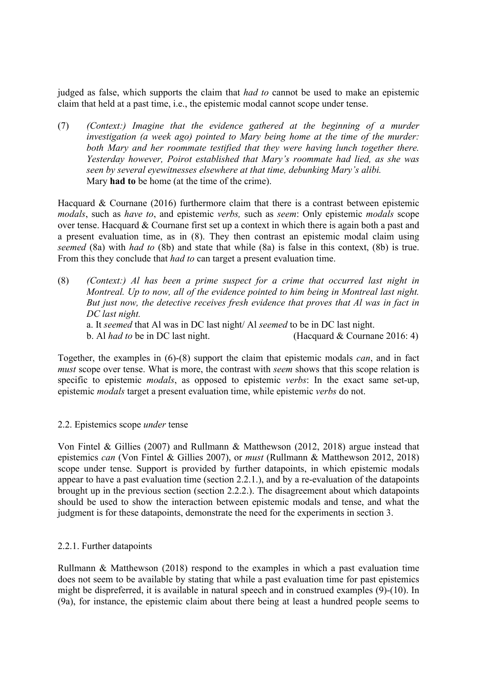judged as false, which supports the claim that *had to* cannot be used to make an epistemic claim that held at a past time, i.e., the epistemic modal cannot scope under tense.

(7) *(Context:) Imagine that the evidence gathered at the beginning of a murder investigation (a week ago) pointed to Mary being home at the time of the murder: both Mary and her roommate testified that they were having lunch together there. Yesterday however, Poirot established that Mary's roommate had lied, as she was seen by several eyewitnesses elsewhere at that time, debunking Mary's alibi.* Mary **had to** be home (at the time of the crime).

Hacquard & Cournane (2016) furthermore claim that there is a contrast between epistemic *modals*, such as *have to*, and epistemic *verbs,* such as *seem*: Only epistemic *modals* scope over tense. Hacquard & Cournane first set up a context in which there is again both a past and a present evaluation time, as in (8). They then contrast an epistemic modal claim using *seemed* (8a) with *had to* (8b) and state that while (8a) is false in this context, (8b) is true. From this they conclude that *had to* can target a present evaluation time.

(8) *(Context:) Al has been a prime suspect for a crime that occurred last night in Montreal. Up to now, all of the evidence pointed to him being in Montreal last night. But just now, the detective receives fresh evidence that proves that Al was in fact in DC last night.* a. It *seemed* that Al was in DC last night/ Al *seemed* to be in DC last night.

b. Al *had to* be in DC last night. (Hacquard & Cournane 2016: 4)

Together, the examples in (6)-(8) support the claim that epistemic modals *can*, and in fact *must* scope over tense. What is more, the contrast with *seem* shows that this scope relation is specific to epistemic *modals*, as opposed to epistemic *verbs*: In the exact same set-up, epistemic *modals* target a present evaluation time, while epistemic *verbs* do not.

#### 2.2. Epistemics scope *under* tense

Von Fintel & Gillies (2007) and Rullmann & Matthewson (2012, 2018) argue instead that epistemics *can* (Von Fintel & Gillies 2007), or *must* (Rullmann & Matthewson 2012, 2018) scope under tense. Support is provided by further datapoints, in which epistemic modals appear to have a past evaluation time (section 2.2.1.), and by a re-evaluation of the datapoints brought up in the previous section (section 2.2.2.). The disagreement about which datapoints should be used to show the interaction between epistemic modals and tense, and what the judgment is for these datapoints, demonstrate the need for the experiments in section 3.

#### 2.2.1. Further datapoints

Rullmann & Matthewson (2018) respond to the examples in which a past evaluation time does not seem to be available by stating that while a past evaluation time for past epistemics might be dispreferred, it is available in natural speech and in construed examples (9)-(10). In (9a), for instance, the epistemic claim about there being at least a hundred people seems to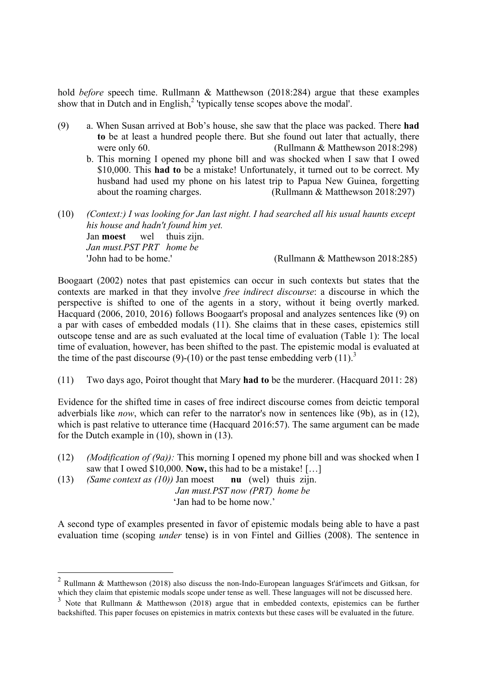hold *before* speech time. Rullmann & Matthewson (2018:284) argue that these examples show that in Dutch and in English,<sup>2</sup> 'typically tense scopes above the modal'.

- (9) a. When Susan arrived at Bob's house, she saw that the place was packed. There **had to** be at least a hundred people there. But she found out later that actually, there were only 60. (Rullmann & Matthewson 2018:298)
	- b. This morning I opened my phone bill and was shocked when I saw that I owed \$10,000. This **had to** be a mistake! Unfortunately, it turned out to be correct. My husband had used my phone on his latest trip to Papua New Guinea, forgetting about the roaming charges. (Rullmann & Matthewson 2018:297)
- (10) *(Context:) I was looking for Jan last night. I had searched all his usual haunts except his house and hadn't found him yet.* Jan **moest** wel thuis zijn. *Jan must.PST PRT home be* 'John had to be home.' (Rullmann & Matthewson 2018:285)

Boogaart (2002) notes that past epistemics can occur in such contexts but states that the contexts are marked in that they involve *free indirect discourse*: a discourse in which the perspective is shifted to one of the agents in a story, without it being overtly marked. Hacquard (2006, 2010, 2016) follows Boogaart's proposal and analyzes sentences like (9) on a par with cases of embedded modals (11). She claims that in these cases, epistemics still outscope tense and are as such evaluated at the local time of evaluation (Table 1): The local time of evaluation, however, has been shifted to the past. The epistemic modal is evaluated at the time of the past discourse (9)-(10) or the past tense embedding verb  $(11)^3$ 

(11) Two days ago, Poirot thought that Mary **had to** be the murderer. (Hacquard 2011: 28)

Evidence for the shifted time in cases of free indirect discourse comes from deictic temporal adverbials like *now*, which can refer to the narrator's now in sentences like (9b), as in (12), which is past relative to utterance time (Hacquard 2016:57). The same argument can be made for the Dutch example in (10), shown in (13).

- (12) *(Modification of (9a)):* This morning I opened my phone bill and was shocked when I saw that I owed \$10,000. **Now,** this had to be a mistake! […]
- (13) *(Same context as (10))* Jan moest **nu** (wel) thuis zijn.

 *Jan must.PST now (PRT) home be*

'Jan had to be home now'

A second type of examples presented in favor of epistemic modals being able to have a past evaluation time (scoping *under* tense) is in von Fintel and Gillies (2008). The sentence in

 <sup>2</sup> Rullmann & Matthewson (2018) also discuss the non-Indo-European languages St'át'imcets and Gitksan, for which they claim that epistemic modals scope under tense as well. These languages will not be discussed here.

<sup>&</sup>lt;sup>3</sup> Note that Rullmann & Matthewson (2018) argue that in embedded contexts, epistemics can be further backshifted. This paper focuses on epistemics in matrix contexts but these cases will be evaluated in the future.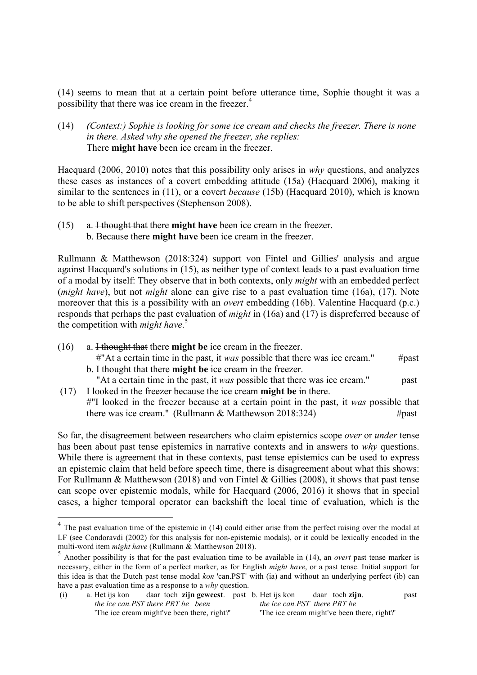(14) seems to mean that at a certain point before utterance time, Sophie thought it was a possibility that there was ice cream in the freezer.<sup>4</sup>

(14) *(Context:) Sophie is looking for some ice cream and checks the freezer. There is none in there. Asked why she opened the freezer, she replies:* There **might have** been ice cream in the freezer.

Hacquard (2006, 2010) notes that this possibility only arises in *why* questions, and analyzes these cases as instances of a covert embedding attitude (15a) (Hacquard 2006), making it similar to the sentences in (11), or a covert *because* (15b) (Hacquard 2010), which is known to be able to shift perspectives (Stephenson 2008).

(15) a. I thought that there **might have** been ice cream in the freezer. b. Because there **might have** been ice cream in the freezer.

Rullmann & Matthewson (2018:324) support von Fintel and Gillies' analysis and argue against Hacquard's solutions in (15), as neither type of context leads to a past evaluation time of a modal by itself: They observe that in both contexts, only *might* with an embedded perfect (*might have*), but not *might* alone can give rise to a past evaluation time (16a), (17). Note moreover that this is a possibility with an *overt* embedding (16b). Valentine Hacquard (p.c.) responds that perhaps the past evaluation of *might* in (16a) and (17) is dispreferred because of the competition with *might have*. 5

- (16) a. I thought that there **might be** ice cream in the freezer.
	- $\#$ "At a certain time in the past, it *was* possible that there was ice cream."  $\#$  past b. I thought that there **might be** ice cream in the freezer.
- "At a certain time in the past, it *was* possible that there was ice cream." past (17) I looked in the freezer because the ice cream **might be** in there.
	- #"I looked in the freezer because at a certain point in the past, it *was* possible that there was ice cream." (Rullmann & Matthewson 2018:324)  $#past$

So far, the disagreement between researchers who claim epistemics scope *over* or *under* tense has been about past tense epistemics in narrative contexts and in answers to *why* questions. While there is agreement that in these contexts, past tense epistemics can be used to express an epistemic claim that held before speech time, there is disagreement about what this shows: For Rullmann & Matthewson (2018) and von Fintel & Gillies (2008), it shows that past tense can scope over epistemic modals, while for Hacquard (2006, 2016) it shows that in special cases, a higher temporal operator can backshift the local time of evaluation, which is the

<sup>&</sup>lt;sup>4</sup> The past evaluation time of the epistemic in (14) could either arise from the perfect raising over the modal at LF (see Condoravdi (2002) for this analysis for non-epistemic modals), or it could be lexically encoded in the multi-word item *might have* (Rullmann & Matthewson 2018).

<sup>5</sup> Another possibility is that for the past evaluation time to be available in (14), an *overt* past tense marker is necessary, either in the form of a perfect marker, as for English *might have*, or a past tense. Initial support for this idea is that the Dutch past tense modal *kon* 'can.PST' with (ia) and without an underlying perfect (ib) can have a past evaluation time as a response to a *why* question.

<sup>(</sup>i) a. Het ijs kon daar toch **zijn geweest**. past b. Het ijs kon daar toch **zijn**. past  *the ice can.PST there PRT be been the ice can.PST there PRT be* 'The ice cream might've been there, right?' 'The ice cream might've been there, right?'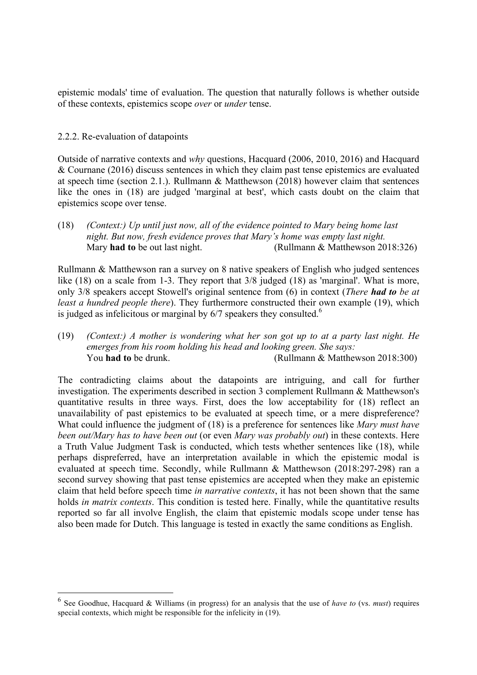epistemic modals' time of evaluation. The question that naturally follows is whether outside of these contexts, epistemics scope *over* or *under* tense.

#### 2.2.2. Re-evaluation of datapoints

Outside of narrative contexts and *why* questions, Hacquard (2006, 2010, 2016) and Hacquard & Cournane (2016) discuss sentences in which they claim past tense epistemics are evaluated at speech time (section 2.1.). Rullmann & Matthewson (2018) however claim that sentences like the ones in (18) are judged 'marginal at best', which casts doubt on the claim that epistemics scope over tense.

(18) *(Context:) Up until just now, all of the evidence pointed to Mary being home last night. But now, fresh evidence proves that Mary's home was empty last night.* Mary **had to** be out last night. (Rullmann & Matthewson 2018:326)

Rullmann & Matthewson ran a survey on 8 native speakers of English who judged sentences like (18) on a scale from 1-3. They report that  $3/8$  judged (18) as 'marginal'. What is more, only 3/8 speakers accept Stowell's original sentence from (6) in context (*There had to be at least a hundred people there*). They furthermore constructed their own example (19), which is judged as infelicitous or marginal by  $6/7$  speakers they consulted.<sup>6</sup>

(19) *(Context:) A mother is wondering what her son got up to at a party last night. He emerges from his room holding his head and looking green. She says:* You **had to** be drunk. (Rullmann & Matthewson 2018:300)

The contradicting claims about the datapoints are intriguing, and call for further investigation. The experiments described in section 3 complement Rullmann & Matthewson's quantitative results in three ways. First, does the low acceptability for (18) reflect an unavailability of past epistemics to be evaluated at speech time, or a mere dispreference? What could influence the judgment of (18) is a preference for sentences like *Mary must have been out/Mary has to have been out* (or even *Mary was probably out*) in these contexts. Here a Truth Value Judgment Task is conducted, which tests whether sentences like (18), while perhaps dispreferred, have an interpretation available in which the epistemic modal is evaluated at speech time. Secondly, while Rullmann & Matthewson (2018:297-298) ran a second survey showing that past tense epistemics are accepted when they make an epistemic claim that held before speech time *in narrative contexts*, it has not been shown that the same holds *in matrix contexts*. This condition is tested here. Finally, while the quantitative results reported so far all involve English, the claim that epistemic modals scope under tense has also been made for Dutch. This language is tested in exactly the same conditions as English.

 <sup>6</sup> See Goodhue, Hacquard & Williams (in progress) for an analysis that the use of *have to* (vs. *must*) requires special contexts, which might be responsible for the infelicity in (19).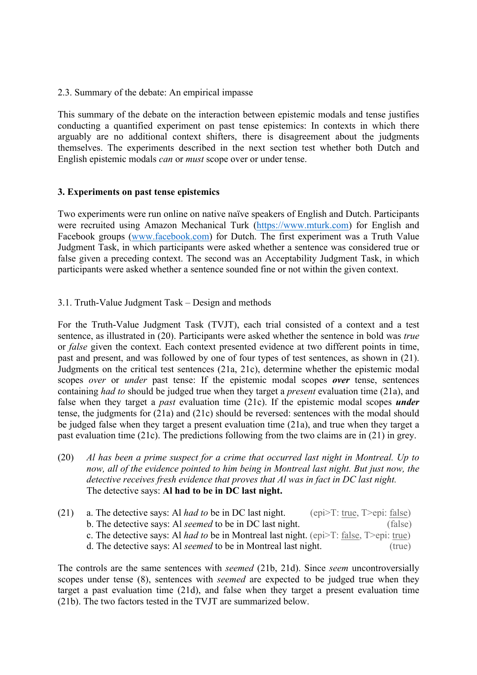2.3. Summary of the debate: An empirical impasse

This summary of the debate on the interaction between epistemic modals and tense justifies conducting a quantified experiment on past tense epistemics: In contexts in which there arguably are no additional context shifters, there is disagreement about the judgments themselves. The experiments described in the next section test whether both Dutch and English epistemic modals *can* or *must* scope over or under tense.

### **3. Experiments on past tense epistemics**

Two experiments were run online on native naïve speakers of English and Dutch. Participants were recruited using Amazon Mechanical Turk (https://www.mturk.com) for English and Facebook groups (www.facebook.com) for Dutch. The first experiment was a Truth Value Judgment Task, in which participants were asked whether a sentence was considered true or false given a preceding context. The second was an Acceptability Judgment Task, in which participants were asked whether a sentence sounded fine or not within the given context.

3.1. Truth-Value Judgment Task – Design and methods

For the Truth-Value Judgment Task (TVJT), each trial consisted of a context and a test sentence, as illustrated in (20). Participants were asked whether the sentence in bold was *true* or *false* given the context. Each context presented evidence at two different points in time, past and present, and was followed by one of four types of test sentences, as shown in (21). Judgments on the critical test sentences (21a, 21c), determine whether the epistemic modal scopes *over* or *under* past tense: If the epistemic modal scopes *over* tense, sentences containing *had to* should be judged true when they target a *present* evaluation time (21a), and false when they target a *past* evaluation time (21c). If the epistemic modal scopes *under* tense, the judgments for (21a) and (21c) should be reversed: sentences with the modal should be judged false when they target a present evaluation time (21a), and true when they target a past evaluation time (21c). The predictions following from the two claims are in (21) in grey.

- (20) *Al has been a prime suspect for a crime that occurred last night in Montreal. Up to now, all of the evidence pointed to him being in Montreal last night. But just now, the detective receives fresh evidence that proves that Al was in fact in DC last night.* The detective says: **Al had to be in DC last night.**
- (21) a. The detective says: Al *had to* be in DC last night. (epi>T: true, T>epi: false) b. The detective says: Al *seemed* to be in DC last night. (false) c. The detective says: Al *had to* be in Montreal last night. (epi>T: false, T>epi: true) d. The detective says: Al *seemed* to be in Montreal last night. (true)

The controls are the same sentences with *seemed* (21b, 21d). Since *seem* uncontroversially scopes under tense (8), sentences with *seemed* are expected to be judged true when they target a past evaluation time (21d), and false when they target a present evaluation time (21b). The two factors tested in the TVJT are summarized below.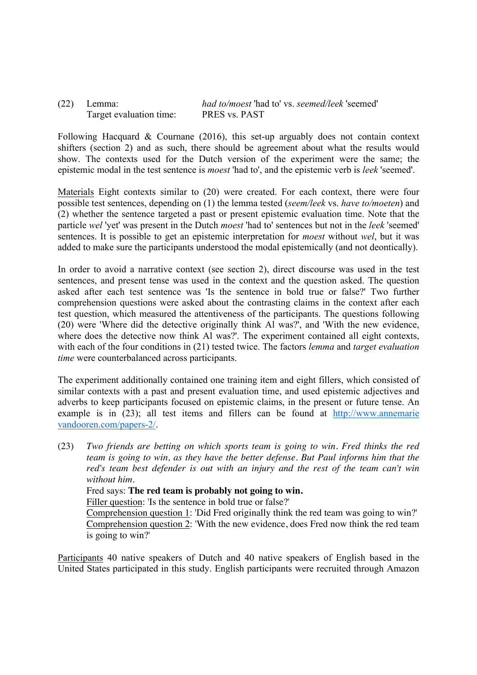| $(22)$ Lemma: |                         | <i>had to/moest</i> 'had to' vs. <i>seemed/leek</i> 'seemed' |
|---------------|-------------------------|--------------------------------------------------------------|
|               | Target evaluation time: | PRES vs. PAST                                                |

Following Hacquard & Cournane (2016), this set-up arguably does not contain context shifters (section 2) and as such, there should be agreement about what the results would show. The contexts used for the Dutch version of the experiment were the same; the epistemic modal in the test sentence is *moest* 'had to', and the epistemic verb is *leek* 'seemed'.

Materials Eight contexts similar to (20) were created. For each context, there were four possible test sentences, depending on (1) the lemma tested (*seem/leek* vs. *have to/moeten*) and (2) whether the sentence targeted a past or present epistemic evaluation time. Note that the particle *wel* 'yet' was present in the Dutch *moest* 'had to' sentences but not in the *leek* 'seemed' sentences. It is possible to get an epistemic interpretation for *moest* without *wel*, but it was added to make sure the participants understood the modal epistemically (and not deontically).

In order to avoid a narrative context (see section 2), direct discourse was used in the test sentences, and present tense was used in the context and the question asked. The question asked after each test sentence was 'Is the sentence in bold true or false?' Two further comprehension questions were asked about the contrasting claims in the context after each test question, which measured the attentiveness of the participants. The questions following (20) were 'Where did the detective originally think Al was?', and 'With the new evidence, where does the detective now think Al was?'. The experiment contained all eight contexts, with each of the four conditions in (21) tested twice. The factors *lemma* and *target evaluation time* were counterbalanced across participants.

The experiment additionally contained one training item and eight fillers, which consisted of similar contexts with a past and present evaluation time, and used epistemic adjectives and adverbs to keep participants focused on epistemic claims, in the present or future tense. An example is in (23); all test items and fillers can be found at http://www.annemarie vandooren.com/papers-2/.

(23) *Two friends are betting on which sports team is going to win. Fred thinks the red team is going to win, as they have the better defense. But Paul informs him that the red's team best defender is out with an injury and the rest of the team can't win without him.* Fred says: **The red team is probably not going to win.**

Filler question: 'Is the sentence in bold true or false?'

Comprehension question 1: 'Did Fred originally think the red team was going to win?' Comprehension question 2: 'With the new evidence, does Fred now think the red team is going to win?'

Participants 40 native speakers of Dutch and 40 native speakers of English based in the United States participated in this study. English participants were recruited through Amazon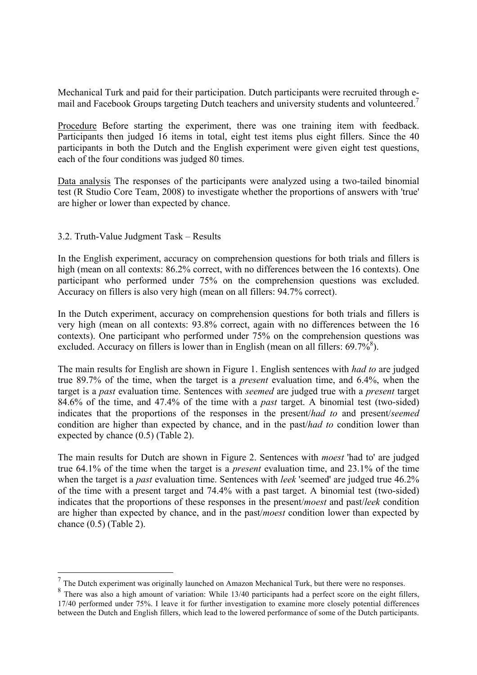Mechanical Turk and paid for their participation. Dutch participants were recruited through email and Facebook Groups targeting Dutch teachers and university students and volunteered.<sup>7</sup>

Procedure Before starting the experiment, there was one training item with feedback. Participants then judged 16 items in total, eight test items plus eight fillers. Since the 40 participants in both the Dutch and the English experiment were given eight test questions, each of the four conditions was judged 80 times.

Data analysis The responses of the participants were analyzed using a two-tailed binomial test (R Studio Core Team, 2008) to investigate whether the proportions of answers with 'true' are higher or lower than expected by chance.

#### 3.2. Truth-Value Judgment Task – Results

In the English experiment, accuracy on comprehension questions for both trials and fillers is high (mean on all contexts: 86.2% correct, with no differences between the 16 contexts). One participant who performed under 75% on the comprehension questions was excluded. Accuracy on fillers is also very high (mean on all fillers: 94.7% correct).

In the Dutch experiment, accuracy on comprehension questions for both trials and fillers is very high (mean on all contexts: 93.8% correct, again with no differences between the 16 contexts). One participant who performed under 75% on the comprehension questions was excluded. Accuracy on fillers is lower than in English (mean on all fillers:  $69.7\%$ <sup>8</sup>).

The main results for English are shown in Figure 1. English sentences with *had to* are judged true 89.7% of the time, when the target is a *present* evaluation time, and 6.4%, when the target is a *past* evaluation time. Sentences with *seemed* are judged true with a *present* target 84.6% of the time, and 47.4% of the time with a *past* target. A binomial test (two-sided) indicates that the proportions of the responses in the present/*had to* and present/*seemed*  condition are higher than expected by chance, and in the past/*had to* condition lower than expected by chance (0.5) (Table 2).

The main results for Dutch are shown in Figure 2. Sentences with *moest* 'had to' are judged true 64.1% of the time when the target is a *present* evaluation time, and 23.1% of the time when the target is a *past* evaluation time. Sentences with *leek* 'seemed' are judged true 46.2% of the time with a present target and 74.4% with a past target. A binomial test (two-sided) indicates that the proportions of these responses in the present/*moest* and past/*leek* condition are higher than expected by chance, and in the past/*moest* condition lower than expected by chance (0.5) (Table 2).

 $7$  The Dutch experiment was originally launched on Amazon Mechanical Turk, but there were no responses.

<sup>&</sup>lt;sup>8</sup> There was also a high amount of variation: While 13/40 participants had a perfect score on the eight fillers, 17/40 performed under 75%. I leave it for further investigation to examine more closely potential differences between the Dutch and English fillers, which lead to the lowered performance of some of the Dutch participants.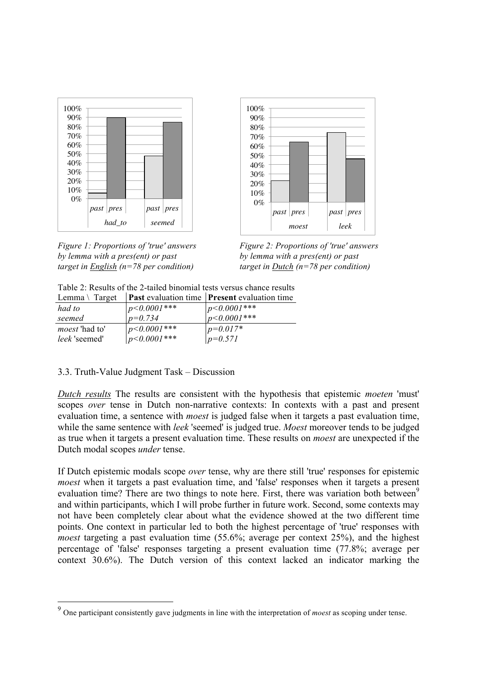

*Figure 1: Proportions of 'true' answers Figure 2: Proportions of 'true' answers by lemma with a pres(ent) or past by lemma with a pres(ent) or past target in English (n=78 per condition) target in Dutch (n=78 per condition)*



Table 2: Results of the 2-tailed binomial tests versus chance results

|                  | <b>Past</b> evaluation time <b>Present</b> evaluation time |
|------------------|------------------------------------------------------------|
| $p<0.0001***$    | $ p<0.0001*** $                                            |
| $p=0.734$        | $1p< 0.0001***$                                            |
| $p<0.0001***$    | $p=0.017*$                                                 |
| $p < 0.0001$ *** | $p=0.571$                                                  |
|                  |                                                            |

# 3.3. Truth-Value Judgment Task – Discussion

*Dutch results* The results are consistent with the hypothesis that epistemic *moeten* 'must' scopes *over* tense in Dutch non-narrative contexts: In contexts with a past and present evaluation time, a sentence with *moest* is judged false when it targets a past evaluation time, while the same sentence with *leek* 'seemed' is judged true. *Moest* moreover tends to be judged as true when it targets a present evaluation time. These results on *moest* are unexpected if the Dutch modal scopes *under* tense.

If Dutch epistemic modals scope *over* tense, why are there still 'true' responses for epistemic *moest* when it targets a past evaluation time, and 'false' responses when it targets a present evaluation time? There are two things to note here. First, there was variation both between<sup>9</sup> and within participants, which I will probe further in future work. Second, some contexts may not have been completely clear about what the evidence showed at the two different time points. One context in particular led to both the highest percentage of 'true' responses with *moest* targeting a past evaluation time (55.6%; average per context 25%), and the highest percentage of 'false' responses targeting a present evaluation time (77.8%; average per context 30.6%). The Dutch version of this context lacked an indicator marking the

 <sup>9</sup> One participant consistently gave judgments in line with the interpretation of *moest* as scoping under tense.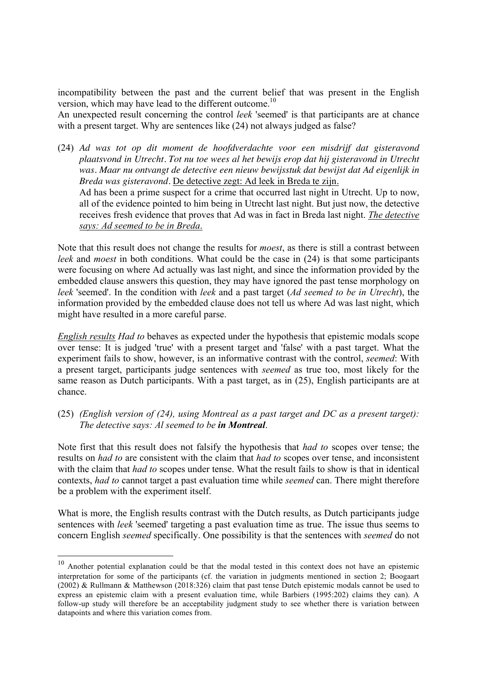incompatibility between the past and the current belief that was present in the English version, which may have lead to the different outcome.<sup>10</sup>

An unexpected result concerning the control *leek* 'seemed' is that participants are at chance with a present target. Why are sentences like  $(24)$  not always judged as false?

(24) *Ad was tot op dit moment de hoofdverdachte voor een misdrijf dat gisteravond plaatsvond in Utrecht. Tot nu toe wees al het bewijs erop dat hij gisteravond in Utrecht was. Maar nu ontvangt de detective een nieuw bewijsstuk dat bewijst dat Ad eigenlijk in Breda was gisteravond.* De detective zegt: Ad leek in Breda te zijn. Ad has been a prime suspect for a crime that occurred last night in Utrecht. Up to now, all of the evidence pointed to him being in Utrecht last night. But just now, the detective receives fresh evidence that proves that Ad was in fact in Breda last night. *The detective* 

*says: Ad seemed to be in Breda*.

Note that this result does not change the results for *moest*, as there is still a contrast between *leek* and *moest* in both conditions. What could be the case in (24) is that some participants were focusing on where Ad actually was last night, and since the information provided by the embedded clause answers this question, they may have ignored the past tense morphology on *leek* 'seemed'. In the condition with *leek* and a past target (*Ad seemed to be in Utrecht*), the information provided by the embedded clause does not tell us where Ad was last night, which might have resulted in a more careful parse.

*English results Had to* behaves as expected under the hypothesis that epistemic modals scope over tense: It is judged 'true' with a present target and 'false' with a past target. What the experiment fails to show, however, is an informative contrast with the control, *seemed*: With a present target, participants judge sentences with *seemed* as true too, most likely for the same reason as Dutch participants. With a past target, as in (25), English participants are at chance.

### (25) *(English version of (24), using Montreal as a past target and DC as a present target): The detective says: Al seemed to be in Montreal*.

Note first that this result does not falsify the hypothesis that *had to* scopes over tense; the results on *had to* are consistent with the claim that *had to* scopes over tense, and inconsistent with the claim that *had to* scopes under tense. What the result fails to show is that in identical contexts, *had to* cannot target a past evaluation time while *seemed* can. There might therefore be a problem with the experiment itself.

What is more, the English results contrast with the Dutch results, as Dutch participants judge sentences with *leek* 'seemed' targeting a past evaluation time as true. The issue thus seems to concern English *seemed* specifically. One possibility is that the sentences with *seemed* do not

<sup>&</sup>lt;sup>10</sup> Another potential explanation could be that the modal tested in this context does not have an epistemic interpretation for some of the participants (cf. the variation in judgments mentioned in section 2; Boogaart (2002) & Rullmann & Matthewson (2018:326) claim that past tense Dutch epistemic modals cannot be used to express an epistemic claim with a present evaluation time, while Barbiers (1995:202) claims they can). A follow-up study will therefore be an acceptability judgment study to see whether there is variation between datapoints and where this variation comes from.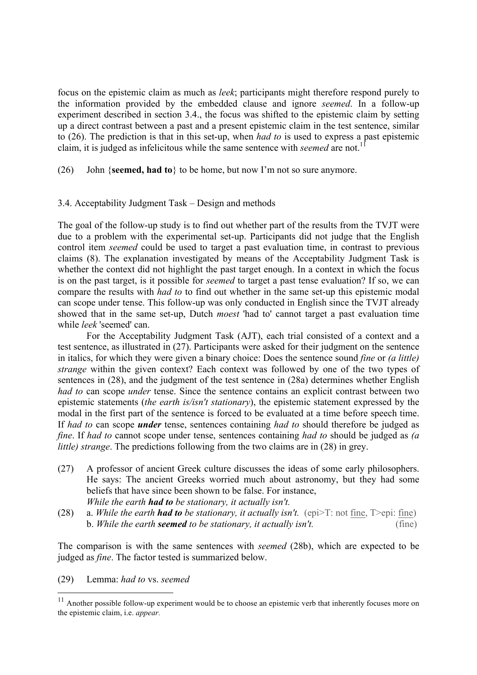focus on the epistemic claim as much as *leek*; participants might therefore respond purely to the information provided by the embedded clause and ignore *seemed*. In a follow-up experiment described in section 3.4., the focus was shifted to the epistemic claim by setting up a direct contrast between a past and a present epistemic claim in the test sentence, similar to (26). The prediction is that in this set-up, when *had to* is used to express a past epistemic claim, it is judged as infelicitous while the same sentence with *seemed* are not. 11

(26) John {**seemed, had to**} to be home, but now I'm not so sure anymore.

#### 3.4. Acceptability Judgment Task – Design and methods

The goal of the follow-up study is to find out whether part of the results from the TVJT were due to a problem with the experimental set-up. Participants did not judge that the English control item *seemed* could be used to target a past evaluation time, in contrast to previous claims (8). The explanation investigated by means of the Acceptability Judgment Task is whether the context did not highlight the past target enough. In a context in which the focus is on the past target, is it possible for *seemed* to target a past tense evaluation? If so, we can compare the results with *had to* to find out whether in the same set-up this epistemic modal can scope under tense. This follow-up was only conducted in English since the TVJT already showed that in the same set-up, Dutch *moest* 'had to' cannot target a past evaluation time while *leek* 'seemed' can.

For the Acceptability Judgment Task (AJT), each trial consisted of a context and a test sentence, as illustrated in (27). Participants were asked for their judgment on the sentence in italics, for which they were given a binary choice: Does the sentence sound *fine* or *(a little) strange* within the given context? Each context was followed by one of the two types of sentences in (28), and the judgment of the test sentence in (28a) determines whether English *had to* can scope *under* tense. Since the sentence contains an explicit contrast between two epistemic statements (*the earth is/isn't stationary*), the epistemic statement expressed by the modal in the first part of the sentence is forced to be evaluated at a time before speech time. If *had to* can scope *under* tense, sentences containing *had to* should therefore be judged as *fine*. If *had to* cannot scope under tense, sentences containing *had to* should be judged as *(a little) strange*. The predictions following from the two claims are in (28) in grey.

- (27) A professor of ancient Greek culture discusses the ideas of some early philosophers. He says: The ancient Greeks worried much about astronomy, but they had some beliefs that have since been shown to be false. For instance, *While the earth had to be stationary, it actually isn't.*
- (28) a. *While the earth had to be stationary, it actually isn't.* (epi>T: not fine, T>epi: fine) b. *While the earth seemed to be stationary, it actually isn't.* (fine)

The comparison is with the same sentences with *seemed* (28b), which are expected to be judged as *fine*. The factor tested is summarized below.

(29) Lemma: *had to* vs. *seemed*

<sup>&</sup>lt;sup>11</sup> Another possible follow-up experiment would be to choose an epistemic verb that inherently focuses more on the epistemic claim, i.e. *appear.*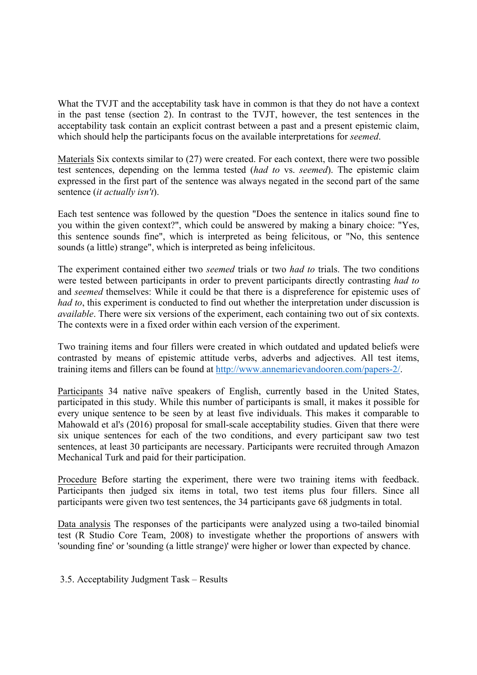What the TVJT and the acceptability task have in common is that they do not have a context in the past tense (section 2). In contrast to the TVJT, however, the test sentences in the acceptability task contain an explicit contrast between a past and a present epistemic claim, which should help the participants focus on the available interpretations for *seemed*.

Materials Six contexts similar to (27) were created. For each context, there were two possible test sentences, depending on the lemma tested (*had to* vs. *seemed*). The epistemic claim expressed in the first part of the sentence was always negated in the second part of the same sentence (*it actually isn't*).

Each test sentence was followed by the question "Does the sentence in italics sound fine to you within the given context?", which could be answered by making a binary choice: "Yes, this sentence sounds fine", which is interpreted as being felicitous, or "No, this sentence sounds (a little) strange", which is interpreted as being infelicitous.

The experiment contained either two *seemed* trials or two *had to* trials. The two conditions were tested between participants in order to prevent participants directly contrasting *had to*  and *seemed* themselves: While it could be that there is a dispreference for epistemic uses of *had to*, this experiment is conducted to find out whether the interpretation under discussion is *available*. There were six versions of the experiment, each containing two out of six contexts. The contexts were in a fixed order within each version of the experiment.

Two training items and four fillers were created in which outdated and updated beliefs were contrasted by means of epistemic attitude verbs, adverbs and adjectives. All test items, training items and fillers can be found at http://www.annemarievandooren.com/papers-2/.

Participants 34 native naïve speakers of English, currently based in the United States, participated in this study. While this number of participants is small, it makes it possible for every unique sentence to be seen by at least five individuals. This makes it comparable to Mahowald et al's (2016) proposal for small-scale acceptability studies. Given that there were six unique sentences for each of the two conditions, and every participant saw two test sentences, at least 30 participants are necessary. Participants were recruited through Amazon Mechanical Turk and paid for their participation.

Procedure Before starting the experiment, there were two training items with feedback. Participants then judged six items in total, two test items plus four fillers. Since all participants were given two test sentences, the 34 participants gave 68 judgments in total.

Data analysis The responses of the participants were analyzed using a two-tailed binomial test (R Studio Core Team, 2008) to investigate whether the proportions of answers with 'sounding fine' or 'sounding (a little strange)' were higher or lower than expected by chance.

3.5. Acceptability Judgment Task – Results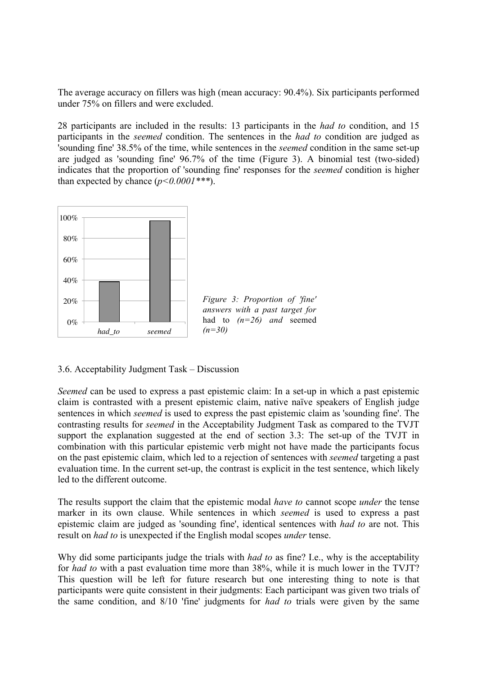The average accuracy on fillers was high (mean accuracy: 90.4%). Six participants performed under 75% on fillers and were excluded.

28 participants are included in the results: 13 participants in the *had to* condition, and 15 participants in the *seemed* condition. The sentences in the *had to* condition are judged as 'sounding fine' 38.5% of the time, while sentences in the *seemed* condition in the same set-up are judged as 'sounding fine' 96.7% of the time (Figure 3). A binomial test (two-sided) indicates that the proportion of 'sounding fine' responses for the *seemed* condition is higher than expected by chance (*p<0.0001\*\*\**).



3.6. Acceptability Judgment Task – Discussion

*Seemed* can be used to express a past epistemic claim: In a set-up in which a past epistemic claim is contrasted with a present epistemic claim, native naïve speakers of English judge sentences in which *seemed* is used to express the past epistemic claim as 'sounding fine'. The contrasting results for *seemed* in the Acceptability Judgment Task as compared to the TVJT support the explanation suggested at the end of section 3.3: The set-up of the TVJT in combination with this particular epistemic verb might not have made the participants focus on the past epistemic claim, which led to a rejection of sentences with *seemed* targeting a past evaluation time. In the current set-up, the contrast is explicit in the test sentence, which likely led to the different outcome.

The results support the claim that the epistemic modal *have to* cannot scope *under* the tense marker in its own clause. While sentences in which *seemed* is used to express a past epistemic claim are judged as 'sounding fine', identical sentences with *had to* are not. This result on *had to* is unexpected if the English modal scopes *under* tense.

Why did some participants judge the trials with *had to* as fine? I.e., why is the acceptability for *had to* with a past evaluation time more than 38%, while it is much lower in the TVJT? This question will be left for future research but one interesting thing to note is that participants were quite consistent in their judgments: Each participant was given two trials of the same condition, and 8/10 'fine' judgments for *had to* trials were given by the same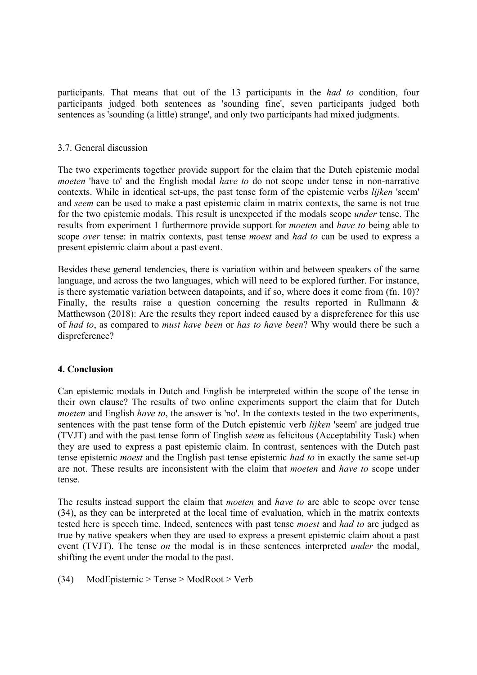participants. That means that out of the 13 participants in the *had to* condition, four participants judged both sentences as 'sounding fine', seven participants judged both sentences as 'sounding (a little) strange', and only two participants had mixed judgments.

### 3.7. General discussion

The two experiments together provide support for the claim that the Dutch epistemic modal *moeten* 'have to' and the English modal *have to* do not scope under tense in non-narrative contexts. While in identical set-ups, the past tense form of the epistemic verbs *lijken* 'seem' and *seem* can be used to make a past epistemic claim in matrix contexts, the same is not true for the two epistemic modals. This result is unexpected if the modals scope *under* tense. The results from experiment 1 furthermore provide support for *moeten* and *have to* being able to scope *over* tense: in matrix contexts, past tense *moest* and *had to* can be used to express a present epistemic claim about a past event.

Besides these general tendencies, there is variation within and between speakers of the same language, and across the two languages, which will need to be explored further. For instance, is there systematic variation between datapoints, and if so, where does it come from (fn. 10)? Finally, the results raise a question concerning the results reported in Rullmann & Matthewson (2018): Are the results they report indeed caused by a dispreference for this use of *had to*, as compared to *must have been* or *has to have been*? Why would there be such a dispreference?

#### **4. Conclusion**

Can epistemic modals in Dutch and English be interpreted within the scope of the tense in their own clause? The results of two online experiments support the claim that for Dutch *moeten* and English *have to*, the answer is 'no'. In the contexts tested in the two experiments, sentences with the past tense form of the Dutch epistemic verb *lijken* 'seem' are judged true (TVJT) and with the past tense form of English *seem* as felicitous (Acceptability Task) when they are used to express a past epistemic claim. In contrast, sentences with the Dutch past tense epistemic *moest* and the English past tense epistemic *had to* in exactly the same set-up are not. These results are inconsistent with the claim that *moeten* and *have to* scope under tense.

The results instead support the claim that *moeten* and *have to* are able to scope over tense (34), as they can be interpreted at the local time of evaluation, which in the matrix contexts tested here is speech time. Indeed, sentences with past tense *moest* and *had to* are judged as true by native speakers when they are used to express a present epistemic claim about a past event (TVJT). The tense *on* the modal is in these sentences interpreted *under* the modal, shifting the event under the modal to the past.

(34) ModEpistemic > Tense > ModRoot > Verb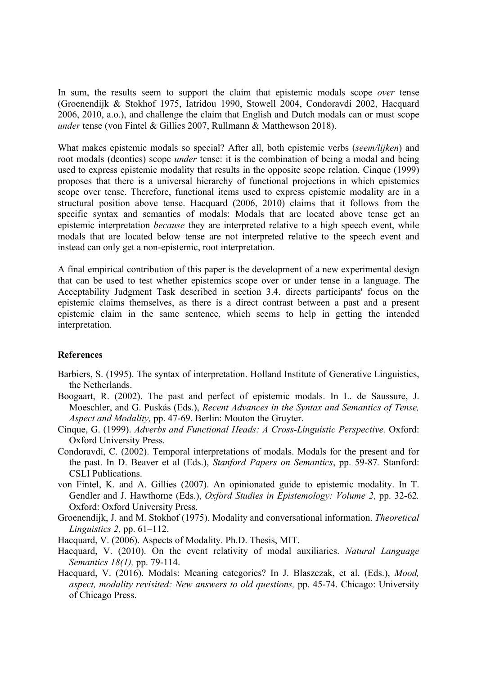In sum, the results seem to support the claim that epistemic modals scope *over* tense (Groenendijk & Stokhof 1975, Iatridou 1990, Stowell 2004, Condoravdi 2002, Hacquard 2006, 2010, a.o.), and challenge the claim that English and Dutch modals can or must scope *under* tense (von Fintel & Gillies 2007, Rullmann & Matthewson 2018).

What makes epistemic modals so special? After all, both epistemic verbs (*seem/lijken*) and root modals (deontics) scope *under* tense: it is the combination of being a modal and being used to express epistemic modality that results in the opposite scope relation. Cinque (1999) proposes that there is a universal hierarchy of functional projections in which epistemics scope over tense. Therefore, functional items used to express epistemic modality are in a structural position above tense. Hacquard (2006, 2010) claims that it follows from the specific syntax and semantics of modals: Modals that are located above tense get an epistemic interpretation *because* they are interpreted relative to a high speech event, while modals that are located below tense are not interpreted relative to the speech event and instead can only get a non-epistemic, root interpretation.

A final empirical contribution of this paper is the development of a new experimental design that can be used to test whether epistemics scope over or under tense in a language. The Acceptability Judgment Task described in section 3.4. directs participants' focus on the epistemic claims themselves, as there is a direct contrast between a past and a present epistemic claim in the same sentence, which seems to help in getting the intended interpretation.

#### **References**

- Barbiers, S. (1995). The syntax of interpretation. Holland Institute of Generative Linguistics, the Netherlands.
- Boogaart, R. (2002). The past and perfect of epistemic modals. In L. de Saussure, J. Moeschler, and G. Puskás (Eds.), *Recent Advances in the Syntax and Semantics of Tense, Aspect and Modality,* pp. 47-69. Berlin: Mouton the Gruyter.
- Cinque, G. (1999). *Adverbs and Functional Heads: A Cross-Linguistic Perspective.* Oxford: Oxford University Press.
- Condoravdi, C. (2002). Temporal interpretations of modals. Modals for the present and for the past. In D. Beaver et al (Eds.), *Stanford Papers on Semantics*, pp. 59-87*.* Stanford: CSLI Publications.
- von Fintel, K. and A. Gillies (2007). An opinionated guide to epistemic modality. In T. Gendler and J. Hawthorne (Eds.), *Oxford Studies in Epistemology: Volume 2*, pp. 32-62*.* Oxford: Oxford University Press.
- Groenendijk, J. and M. Stokhof (1975). Modality and conversational information. *Theoretical Linguistics 2,* pp. 61–112.
- Hacquard, V. (2006). Aspects of Modality. Ph.D. Thesis, MIT.
- Hacquard, V. (2010). On the event relativity of modal auxiliaries. *Natural Language Semantics 18(1),* pp. 79-114.
- Hacquard, V. (2016). Modals: Meaning categories? In J. Blaszczak, et al. (Eds.), *Mood, aspect, modality revisited: New answers to old questions,* pp. 45-74. Chicago: University of Chicago Press.